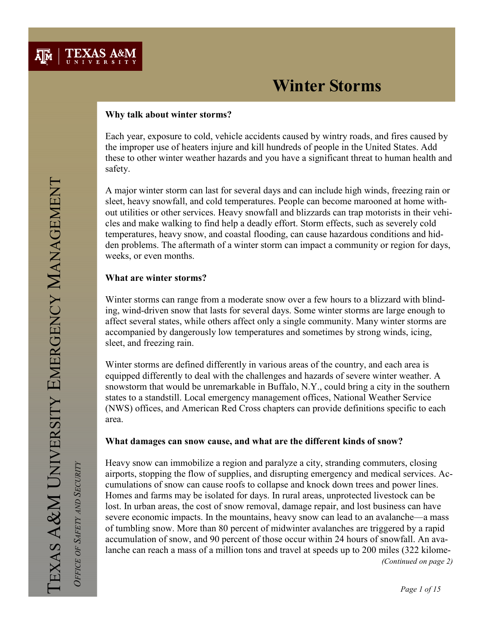

### Why talk about winter storms?

Each year, exposure to cold, vehicle accidents caused by wintry roads, and fires caused by the improper use of heaters injure and kill hundreds of people in the United States. Add these to other winter weather hazards and you have a significant threat to human health and safety.

A major winter storm can last for several days and can include high winds, freezing rain or sleet, heavy snowfall, and cold temperatures. People can become marooned at home without utilities or other services. Heavy snowfall and blizzards can trap motorists in their vehicles and make walking to find help a deadly effort. Storm effects, such as severely cold temperatures, heavy snow, and coastal flooding, can cause hazardous conditions and hidden problems. The aftermath of a winter storm can impact a community or region for days, weeks, or even months.

### What are winter storms?

Winter storms can range from a moderate snow over a few hours to a blizzard with blinding, wind-driven snow that lasts for several days. Some winter storms are large enough to affect several states, while others affect only a single community. Many winter storms are accompanied by dangerously low temperatures and sometimes by strong winds, icing, sleet, and freezing rain.

Winter storms are defined differently in various areas of the country, and each area is equipped differently to deal with the challenges and hazards of severe winter weather. A snowstorm that would be unremarkable in Buffalo, N.Y., could bring a city in the southern states to a standstill. Local emergency management offices, National Weather Service (NWS) offices, and American Red Cross chapters can provide definitions specific to each area.

### What damages can snow cause, and what are the different kinds of snow?

Heavy snow can immobilize a region and paralyze a city, stranding commuters, closing airports, stopping the flow of supplies, and disrupting emergency and medical services. Accumulations of snow can cause roofs to collapse and knock down trees and power lines. Homes and farms may be isolated for days. In rural areas, unprotected livestock can be lost. In urban areas, the cost of snow removal, damage repair, and lost business can have severe economic impacts. In the mountains, heavy snow can lead to an avalanche—a mass of tumbling snow. More than 80 percent of midwinter avalanches are triggered by a rapid accumulation of snow, and 90 percent of those occur within 24 hours of snowfall. An avalanche can reach a mass of a million tons and travel at speeds up to 200 miles (322 kilome- (Continued on page 2)

OFFICE OF SAFETY AND SECURITY

OFFICE OF SAFETY AND SECURITY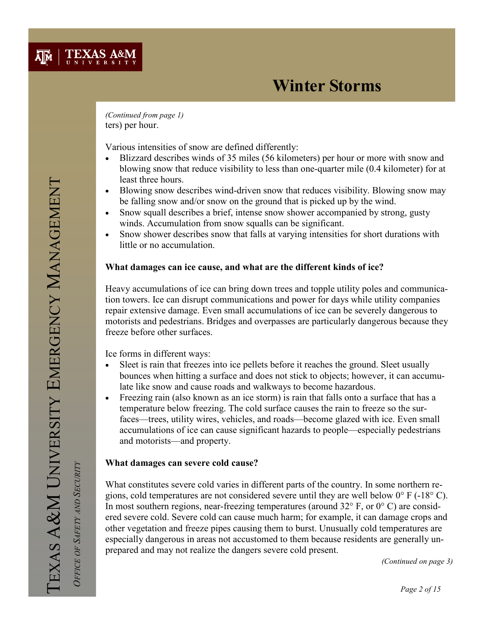

ters) per hour. (Continued from page 1)

Various intensities of snow are defined differently:

- Blizzard describes winds of 35 miles (56 kilometers) per hour or more with snow and blowing snow that reduce visibility to less than one-quarter mile (0.4 kilometer) for at least three hours.
- Blowing snow describes wind-driven snow that reduces visibility. Blowing snow may be falling snow and/or snow on the ground that is picked up by the wind.
- Snow squall describes a brief, intense snow shower accompanied by strong, gusty winds. Accumulation from snow squalls can be significant.
- Snow shower describes snow that falls at varying intensities for short durations with little or no accumulation.

### What damages can ice cause, and what are the different kinds of ice?

Heavy accumulations of ice can bring down trees and topple utility poles and communication towers. Ice can disrupt communications and power for days while utility companies repair extensive damage. Even small accumulations of ice can be severely dangerous to motorists and pedestrians. Bridges and overpasses are particularly dangerous because they freeze before other surfaces.

Ice forms in different ways:

- Sleet is rain that freezes into ice pellets before it reaches the ground. Sleet usually bounces when hitting a surface and does not stick to objects; however, it can accumulate like snow and cause roads and walkways to become hazardous.
- Freezing rain (also known as an ice storm) is rain that falls onto a surface that has a temperature below freezing. The cold surface causes the rain to freeze so the surfaces—trees, utility wires, vehicles, and roads—become glazed with ice. Even small accumulations of ice can cause significant hazards to people—especially pedestrians and motorists—and property.

### What damages can severe cold cause?

What constitutes severe cold varies in different parts of the country. In some northern regions, cold temperatures are not considered severe until they are well below 0° F (-18° C). In most southern regions, near-freezing temperatures (around  $32^{\circ}$  F, or  $0^{\circ}$  C) are considered severe cold. Severe cold can cause much harm; for example, it can damage crops and other vegetation and freeze pipes causing them to burst. Unusually cold temperatures are especially dangerous in areas not accustomed to them because residents are generally unprepared and may not realize the dangers severe cold present.

(Continued on page 3)

OFFICE OF SAFETY AND SECURITY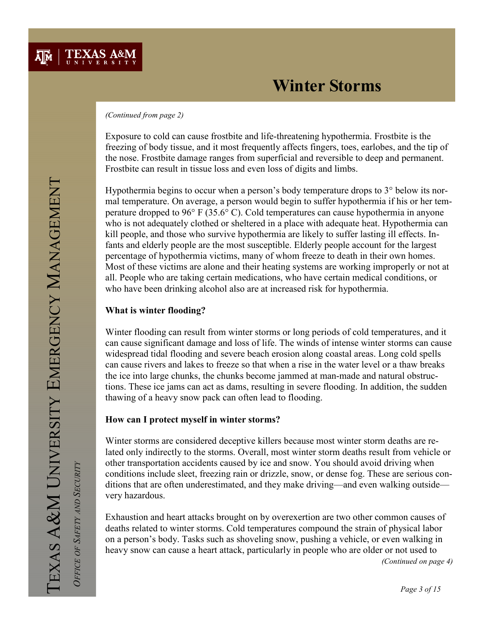#### (Continued from page 2)

Exposure to cold can cause frostbite and life-threatening hypothermia. Frostbite is the freezing of body tissue, and it most frequently affects fingers, toes, earlobes, and the tip of the nose. Frostbite damage ranges from superficial and reversible to deep and permanent. Frostbite can result in tissue loss and even loss of digits and limbs.

Hypothermia begins to occur when a person's body temperature drops to 3° below its normal temperature. On average, a person would begin to suffer hypothermia if his or her temperature dropped to 96° F (35.6° C). Cold temperatures can cause hypothermia in anyone who is not adequately clothed or sheltered in a place with adequate heat. Hypothermia can kill people, and those who survive hypothermia are likely to suffer lasting ill effects. Infants and elderly people are the most susceptible. Elderly people account for the largest percentage of hypothermia victims, many of whom freeze to death in their own homes. Most of these victims are alone and their heating systems are working improperly or not at all. People who are taking certain medications, who have certain medical conditions, or who have been drinking alcohol also are at increased risk for hypothermia.

### What is winter flooding?

Winter flooding can result from winter storms or long periods of cold temperatures, and it can cause significant damage and loss of life. The winds of intense winter storms can cause widespread tidal flooding and severe beach erosion along coastal areas. Long cold spells can cause rivers and lakes to freeze so that when a rise in the water level or a thaw breaks the ice into large chunks, the chunks become jammed at man-made and natural obstructions. These ice jams can act as dams, resulting in severe flooding. In addition, the sudden thawing of a heavy snow pack can often lead to flooding.

## How can I protect myself in winter storms?

Winter storms are considered deceptive killers because most winter storm deaths are related only indirectly to the storms. Overall, most winter storm deaths result from vehicle or other transportation accidents caused by ice and snow. You should avoid driving when conditions include sleet, freezing rain or drizzle, snow, or dense fog. These are serious conditions that are often underestimated, and they make driving—and even walking outside very hazardous.

Exhaustion and heart attacks brought on by overexertion are two other common causes of deaths related to winter storms. Cold temperatures compound the strain of physical labor on a person's body. Tasks such as shoveling snow, pushing a vehicle, or even walking in heavy snow can cause a heart attack, particularly in people who are older or not used to

(Continued on page 4)

OFFICE OF SAFETY AND SECURITY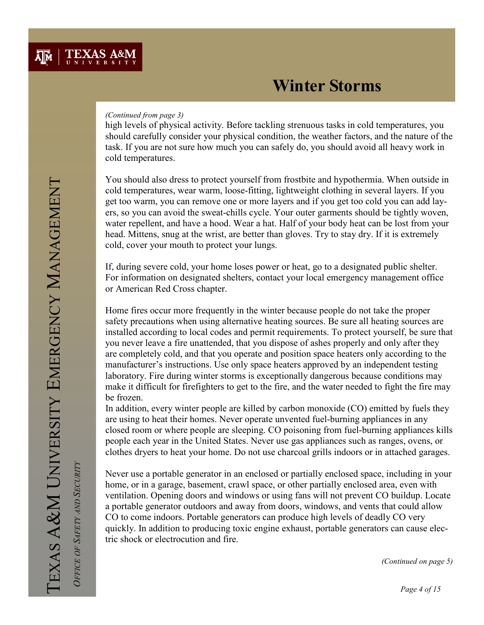#### (Continued from page 3)

high levels of physical activity. Before tackling strenuous tasks in cold temperatures, you should carefully consider your physical condition, the weather factors, and the nature of the task. If you are not sure how much you can safely do, you should avoid all heavy work in cold temperatures.

You should also dress to protect yourself from frostbite and hypothermia. When outside in cold temperatures, wear warm, loose-fitting, lightweight clothing in several layers. If you get too warm, you can remove one or more layers and if you get too cold you can add layers, so you can avoid the sweat-chills cycle. Your outer garments should be tightly woven, water repellent, and have a hood. Wear a hat. Half of your body heat can be lost from your head. Mittens, snug at the wrist, are better than gloves. Try to stay dry. If it is extremely cold, cover your mouth to protect your lungs.

If, during severe cold, your home loses power or heat, go to a designated public shelter. For information on designated shelters, contact your local emergency management office or American Red Cross chapter.

Home fires occur more frequently in the winter because people do not take the proper safety precautions when using alternative heating sources. Be sure all heating sources are installed according to local codes and permit requirements. To protect yourself, be sure that you never leave a fire unattended, that you dispose of ashes properly and only after they are completely cold, and that you operate and position space heaters only according to the manufacturer's instructions. Use only space heaters approved by an independent testing laboratory. Fire during winter storms is exceptionally dangerous because conditions may make it difficult for firefighters to get to the fire, and the water needed to fight the fire may be frozen.

In addition, every winter people are killed by carbon monoxide (CO) emitted by fuels they are using to heat their homes. Never operate unvented fuel-burning appliances in any closed room or where people are sleeping. CO poisoning from fuel-burning appliances kills people each year in the United States. Never use gas appliances such as ranges, ovens, or clothes dryers to heat your home. Do not use charcoal grills indoors or in attached garages.

Never use a portable generator in an enclosed or partially enclosed space, including in your home, or in a garage, basement, crawl space, or other partially enclosed area, even with ventilation. Opening doors and windows or using fans will not prevent CO buildup. Locate a portable generator outdoors and away from doors, windows, and vents that could allow CO to come indoors. Portable generators can produce high levels of deadly CO very quickly. In addition to producing toxic engine exhaust, portable generators can cause electric shock or electrocution and fire.

(Continued on page 5)

OFFICE OF SAFETY AND SECURITY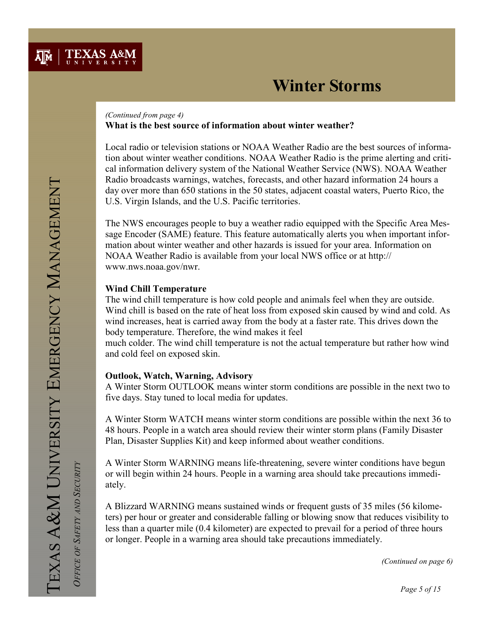

#### What is the best source of information about winter weather? (Continued from page 4)

Local radio or television stations or NOAA Weather Radio are the best sources of information about winter weather conditions. NOAA Weather Radio is the prime alerting and critical information delivery system of the National Weather Service (NWS). NOAA Weather Radio broadcasts warnings, watches, forecasts, and other hazard information 24 hours a day over more than 650 stations in the 50 states, adjacent coastal waters, Puerto Rico, the U.S. Virgin Islands, and the U.S. Pacific territories.

The NWS encourages people to buy a weather radio equipped with the Specific Area Message Encoder (SAME) feature. This feature automatically alerts you when important information about winter weather and other hazards is issued for your area. Information on NOAA Weather Radio is available from your local NWS office or at http:// www.nws.noaa.gov/nwr.

### Wind Chill Temperature

The wind chill temperature is how cold people and animals feel when they are outside. Wind chill is based on the rate of heat loss from exposed skin caused by wind and cold. As wind increases, heat is carried away from the body at a faster rate. This drives down the body temperature. Therefore, the wind makes it feel

much colder. The wind chill temperature is not the actual temperature but rather how wind and cold feel on exposed skin.

### Outlook, Watch, Warning, Advisory

A Winter Storm OUTLOOK means winter storm conditions are possible in the next two to five days. Stay tuned to local media for updates.

A Winter Storm WATCH means winter storm conditions are possible within the next 36 to 48 hours. People in a watch area should review their winter storm plans (Family Disaster Plan, Disaster Supplies Kit) and keep informed about weather conditions.

A Winter Storm WARNING means life-threatening, severe winter conditions have begun or will begin within 24 hours. People in a warning area should take precautions immediately.

A Blizzard WARNING means sustained winds or frequent gusts of 35 miles (56 kilometers) per hour or greater and considerable falling or blowing snow that reduces visibility to less than a quarter mile (0.4 kilometer) are expected to prevail for a period of three hours or longer. People in a warning area should take precautions immediately.

OFFICE OF SAFETY AND SECURITY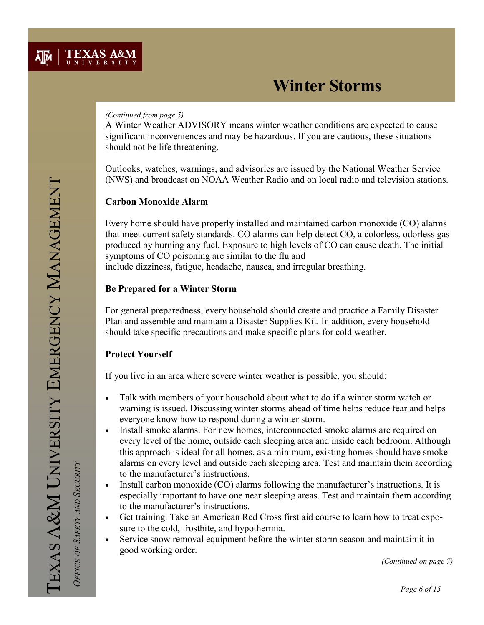#### (Continued from page 5)

A Winter Weather ADVISORY means winter weather conditions are expected to cause significant inconveniences and may be hazardous. If you are cautious, these situations should not be life threatening.

Outlooks, watches, warnings, and advisories are issued by the National Weather Service (NWS) and broadcast on NOAA Weather Radio and on local radio and television stations.

### Carbon Monoxide Alarm

Every home should have properly installed and maintained carbon monoxide (CO) alarms that meet current safety standards. CO alarms can help detect CO, a colorless, odorless gas produced by burning any fuel. Exposure to high levels of CO can cause death. The initial symptoms of CO poisoning are similar to the flu and include dizziness, fatigue, headache, nausea, and irregular breathing.

### Be Prepared for a Winter Storm

For general preparedness, every household should create and practice a Family Disaster Plan and assemble and maintain a Disaster Supplies Kit. In addition, every household should take specific precautions and make specific plans for cold weather.

## Protect Yourself

If you live in an area where severe winter weather is possible, you should:

- Talk with members of your household about what to do if a winter storm watch or warning is issued. Discussing winter storms ahead of time helps reduce fear and helps everyone know how to respond during a winter storm.
- Install smoke alarms. For new homes, interconnected smoke alarms are required on every level of the home, outside each sleeping area and inside each bedroom. Although this approach is ideal for all homes, as a minimum, existing homes should have smoke alarms on every level and outside each sleeping area. Test and maintain them according to the manufacturer's instructions.
- Install carbon monoxide (CO) alarms following the manufacturer's instructions. It is especially important to have one near sleeping areas. Test and maintain them according to the manufacturer's instructions.
- Get training. Take an American Red Cross first aid course to learn how to treat exposure to the cold, frostbite, and hypothermia.
- Service snow removal equipment before the winter storm season and maintain it in good working order.

(Continued on page 7)

OFFICE OF SAFETY AND SECURITY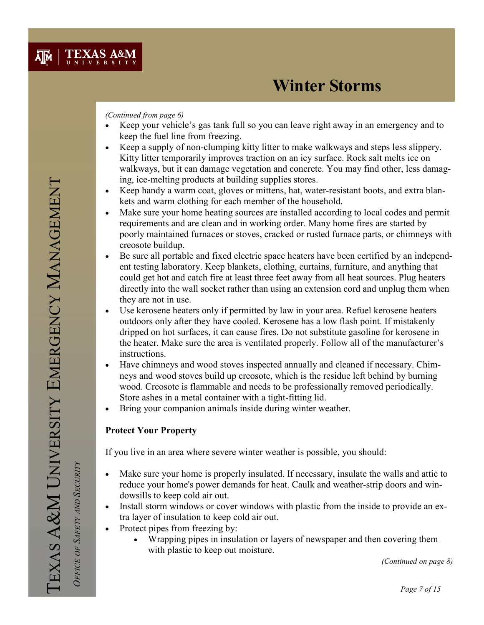#### (Continued from page 6)

- Keep your vehicle's gas tank full so you can leave right away in an emergency and to keep the fuel line from freezing.
- Keep a supply of non-clumping kitty litter to make walkways and steps less slippery. Kitty litter temporarily improves traction on an icy surface. Rock salt melts ice on walkways, but it can damage vegetation and concrete. You may find other, less damaging, ice-melting products at building supplies stores.
- Keep handy a warm coat, gloves or mittens, hat, water-resistant boots, and extra blankets and warm clothing for each member of the household.
- Make sure your home heating sources are installed according to local codes and permit requirements and are clean and in working order. Many home fires are started by poorly maintained furnaces or stoves, cracked or rusted furnace parts, or chimneys with creosote buildup.
- Be sure all portable and fixed electric space heaters have been certified by an independent testing laboratory. Keep blankets, clothing, curtains, furniture, and anything that could get hot and catch fire at least three feet away from all heat sources. Plug heaters directly into the wall socket rather than using an extension cord and unplug them when they are not in use.
- Use kerosene heaters only if permitted by law in your area. Refuel kerosene heaters outdoors only after they have cooled. Kerosene has a low flash point. If mistakenly dripped on hot surfaces, it can cause fires. Do not substitute gasoline for kerosene in the heater. Make sure the area is ventilated properly. Follow all of the manufacturer's instructions.
- Have chimneys and wood stoves inspected annually and cleaned if necessary. Chimneys and wood stoves build up creosote, which is the residue left behind by burning wood. Creosote is flammable and needs to be professionally removed periodically. Store ashes in a metal container with a tight-fitting lid.
- Bring your companion animals inside during winter weather.

## Protect Your Property

If you live in an area where severe winter weather is possible, you should:

- Make sure your home is properly insulated. If necessary, insulate the walls and attic to reduce your home's power demands for heat. Caulk and weather-strip doors and windowsills to keep cold air out.
- Install storm windows or cover windows with plastic from the inside to provide an extra layer of insulation to keep cold air out.
- Protect pipes from freezing by:
	- Wrapping pipes in insulation or layers of newspaper and then covering them with plastic to keep out moisture.

(Continued on page 8)

OFFICE OF SAFETY AND SECURITY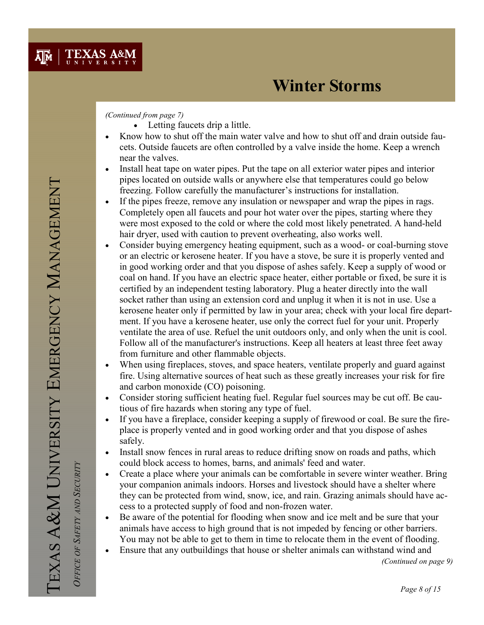#### (Continued from page 7)

- Letting faucets drip a little.
- Know how to shut off the main water valve and how to shut off and drain outside faucets. Outside faucets are often controlled by a valve inside the home. Keep a wrench near the valves.
- Install heat tape on water pipes. Put the tape on all exterior water pipes and interior pipes located on outside walls or anywhere else that temperatures could go below freezing. Follow carefully the manufacturer's instructions for installation.
- If the pipes freeze, remove any insulation or newspaper and wrap the pipes in rags. Completely open all faucets and pour hot water over the pipes, starting where they were most exposed to the cold or where the cold most likely penetrated. A hand-held hair dryer, used with caution to prevent overheating, also works well.
- Consider buying emergency heating equipment, such as a wood- or coal-burning stove or an electric or kerosene heater. If you have a stove, be sure it is properly vented and in good working order and that you dispose of ashes safely. Keep a supply of wood or coal on hand. If you have an electric space heater, either portable or fixed, be sure it is certified by an independent testing laboratory. Plug a heater directly into the wall socket rather than using an extension cord and unplug it when it is not in use. Use a kerosene heater only if permitted by law in your area; check with your local fire department. If you have a kerosene heater, use only the correct fuel for your unit. Properly ventilate the area of use. Refuel the unit outdoors only, and only when the unit is cool. Follow all of the manufacturer's instructions. Keep all heaters at least three feet away from furniture and other flammable objects.
- When using fireplaces, stoves, and space heaters, ventilate properly and guard against fire. Using alternative sources of heat such as these greatly increases your risk for fire and carbon monoxide (CO) poisoning.
- Consider storing sufficient heating fuel. Regular fuel sources may be cut off. Be cautious of fire hazards when storing any type of fuel.
- If you have a fireplace, consider keeping a supply of firewood or coal. Be sure the fireplace is properly vented and in good working order and that you dispose of ashes safely.
- Install snow fences in rural areas to reduce drifting snow on roads and paths, which could block access to homes, barns, and animals' feed and water.
- Create a place where your animals can be comfortable in severe winter weather. Bring your companion animals indoors. Horses and livestock should have a shelter where they can be protected from wind, snow, ice, and rain. Grazing animals should have access to a protected supply of food and non-frozen water.
- Be aware of the potential for flooding when snow and ice melt and be sure that your animals have access to high ground that is not impeded by fencing or other barriers. You may not be able to get to them in time to relocate them in the event of flooding.
- Ensure that any outbuildings that house or shelter animals can withstand wind and

(Continued on page 9)

OFFICE OF SAFETY AND SECURITY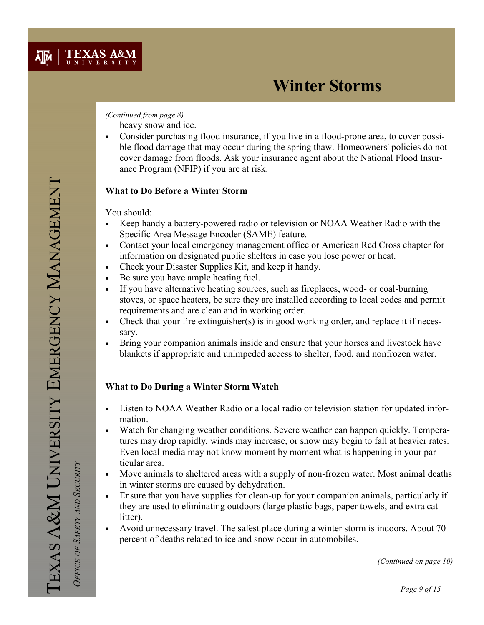### (Continued from page 8)

heavy snow and ice.

• Consider purchasing flood insurance, if you live in a flood-prone area, to cover possible flood damage that may occur during the spring thaw. Homeowners' policies do not cover damage from floods. Ask your insurance agent about the National Flood Insurance Program (NFIP) if you are at risk.

## What to Do Before a Winter Storm

You should:

- Keep handy a battery-powered radio or television or NOAA Weather Radio with the Specific Area Message Encoder (SAME) feature.
- Contact your local emergency management office or American Red Cross chapter for information on designated public shelters in case you lose power or heat.
- Check your Disaster Supplies Kit, and keep it handy.
- Be sure you have ample heating fuel.
- If you have alternative heating sources, such as fireplaces, wood- or coal-burning stoves, or space heaters, be sure they are installed according to local codes and permit requirements and are clean and in working order.
- Check that your fire extinguisher(s) is in good working order, and replace it if necessary.
- Bring your companion animals inside and ensure that your horses and livestock have blankets if appropriate and unimpeded access to shelter, food, and nonfrozen water.

## What to Do During a Winter Storm Watch

- Listen to NOAA Weather Radio or a local radio or television station for updated information.
- Watch for changing weather conditions. Severe weather can happen quickly. Temperatures may drop rapidly, winds may increase, or snow may begin to fall at heavier rates. Even local media may not know moment by moment what is happening in your particular area.
- Move animals to sheltered areas with a supply of non-frozen water. Most animal deaths in winter storms are caused by dehydration.
- Ensure that you have supplies for clean-up for your companion animals, particularly if they are used to eliminating outdoors (large plastic bags, paper towels, and extra cat litter).
- Avoid unnecessary travel. The safest place during a winter storm is indoors. About 70 percent of deaths related to ice and snow occur in automobiles.

OFFICE OF SAFETY AND SECURITY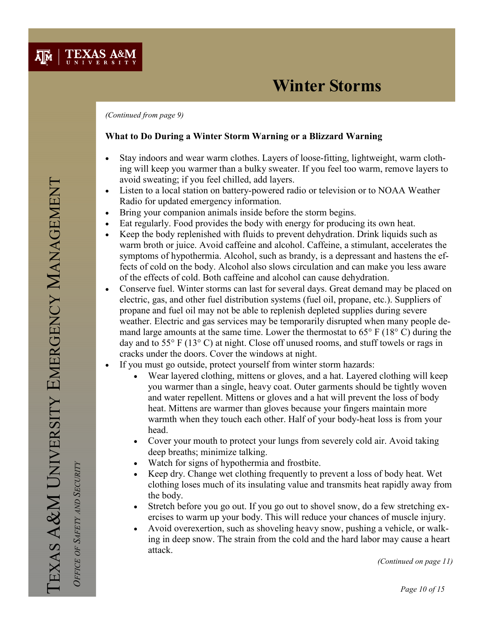(Continued from page 9)

**TEXAS A&M** 

 $\overline{A}$ <sub>M</sub>

### What to Do During a Winter Storm Warning or a Blizzard Warning

- Stay indoors and wear warm clothes. Layers of loose-fitting, lightweight, warm clothing will keep you warmer than a bulky sweater. If you feel too warm, remove layers to avoid sweating; if you feel chilled, add layers.
- Listen to a local station on battery-powered radio or television or to NOAA Weather Radio for updated emergency information.
- Bring your companion animals inside before the storm begins.
- Eat regularly. Food provides the body with energy for producing its own heat.
- Keep the body replenished with fluids to prevent dehydration. Drink liquids such as warm broth or juice. Avoid caffeine and alcohol. Caffeine, a stimulant, accelerates the symptoms of hypothermia. Alcohol, such as brandy, is a depressant and hastens the effects of cold on the body. Alcohol also slows circulation and can make you less aware of the effects of cold. Both caffeine and alcohol can cause dehydration.
- Conserve fuel. Winter storms can last for several days. Great demand may be placed on electric, gas, and other fuel distribution systems (fuel oil, propane, etc.). Suppliers of propane and fuel oil may not be able to replenish depleted supplies during severe weather. Electric and gas services may be temporarily disrupted when many people demand large amounts at the same time. Lower the thermostat to 65° F (18° C) during the day and to 55° F (13° C) at night. Close off unused rooms, and stuff towels or rags in cracks under the doors. Cover the windows at night.
- If you must go outside, protect yourself from winter storm hazards:
	- Wear layered clothing, mittens or gloves, and a hat. Layered clothing will keep you warmer than a single, heavy coat. Outer garments should be tightly woven and water repellent. Mittens or gloves and a hat will prevent the loss of body heat. Mittens are warmer than gloves because your fingers maintain more warmth when they touch each other. Half of your body-heat loss is from your head.
	- Cover your mouth to protect your lungs from severely cold air. Avoid taking deep breaths; minimize talking.
	- Watch for signs of hypothermia and frostbite.
	- Keep dry. Change wet clothing frequently to prevent a loss of body heat. Wet clothing loses much of its insulating value and transmits heat rapidly away from the body.
	- Stretch before you go out. If you go out to shovel snow, do a few stretching exercises to warm up your body. This will reduce your chances of muscle injury.
	- Avoid overexertion, such as shoveling heavy snow, pushing a vehicle, or walking in deep snow. The strain from the cold and the hard labor may cause a heart attack.

(Continued on page 11)

OFFICE OF SAFETY AND SECURITY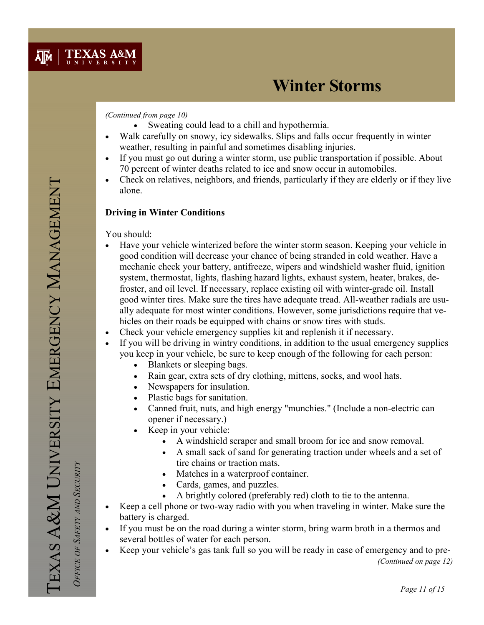#### (Continued from page 10)

- Sweating could lead to a chill and hypothermia.
- Walk carefully on snowy, icy sidewalks. Slips and falls occur frequently in winter weather, resulting in painful and sometimes disabling injuries.
- If you must go out during a winter storm, use public transportation if possible. About 70 percent of winter deaths related to ice and snow occur in automobiles.
- Check on relatives, neighbors, and friends, particularly if they are elderly or if they live alone.

## Driving in Winter Conditions

You should:

- Have your vehicle winterized before the winter storm season. Keeping your vehicle in good condition will decrease your chance of being stranded in cold weather. Have a mechanic check your battery, antifreeze, wipers and windshield washer fluid, ignition system, thermostat, lights, flashing hazard lights, exhaust system, heater, brakes, defroster, and oil level. If necessary, replace existing oil with winter-grade oil. Install good winter tires. Make sure the tires have adequate tread. All-weather radials are usually adequate for most winter conditions. However, some jurisdictions require that vehicles on their roads be equipped with chains or snow tires with studs.
- Check your vehicle emergency supplies kit and replenish it if necessary.
- If you will be driving in wintry conditions, in addition to the usual emergency supplies you keep in your vehicle, be sure to keep enough of the following for each person:
	- Blankets or sleeping bags.
	- Rain gear, extra sets of dry clothing, mittens, socks, and wool hats.
	- Newspapers for insulation.
	- Plastic bags for sanitation.
	- Canned fruit, nuts, and high energy "munchies." (Include a non-electric can opener if necessary.)
	- Keep in your vehicle:
		- A windshield scraper and small broom for ice and snow removal.
		- A small sack of sand for generating traction under wheels and a set of tire chains or traction mats.
		- Matches in a waterproof container.
		- Cards, games, and puzzles.
		- A brightly colored (preferably red) cloth to tie to the antenna.
- Keep a cell phone or two-way radio with you when traveling in winter. Make sure the battery is charged.
- If you must be on the road during a winter storm, bring warm broth in a thermos and several bottles of water for each person.
- Keep your vehicle's gas tank full so you will be ready in case of emergency and to pre- (Continued on page 12)

TEXAS A&M UNIVERSITY EMERGENCY MANAGEMENT EXAS A&M UNIVERSITY EMERGENCY MANAGEMENT

OFFICE OF SAFETY AND SECURITY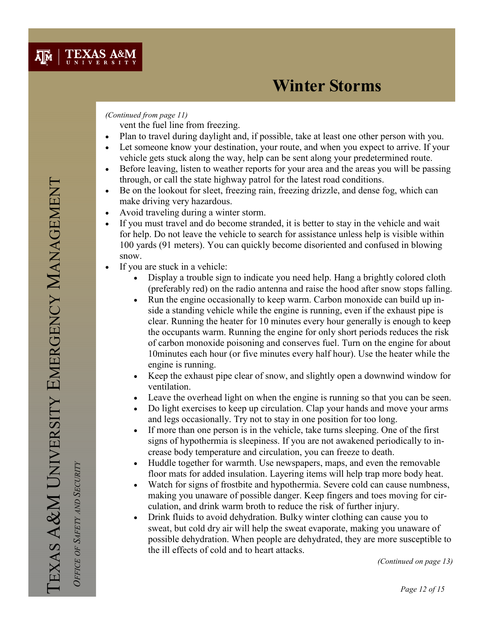### (Continued from page 11)

vent the fuel line from freezing.

- Plan to travel during daylight and, if possible, take at least one other person with you.
- Let someone know your destination, your route, and when you expect to arrive. If your vehicle gets stuck along the way, help can be sent along your predetermined route.
- Before leaving, listen to weather reports for your area and the areas you will be passing through, or call the state highway patrol for the latest road conditions.
- Be on the lookout for sleet, freezing rain, freezing drizzle, and dense fog, which can make driving very hazardous.
- Avoid traveling during a winter storm.
- If you must travel and do become stranded, it is better to stay in the vehicle and wait for help. Do not leave the vehicle to search for assistance unless help is visible within 100 yards (91 meters). You can quickly become disoriented and confused in blowing snow.
- If you are stuck in a vehicle:
	- Display a trouble sign to indicate you need help. Hang a brightly colored cloth (preferably red) on the radio antenna and raise the hood after snow stops falling.
	- Run the engine occasionally to keep warm. Carbon monoxide can build up inside a standing vehicle while the engine is running, even if the exhaust pipe is clear. Running the heater for 10 minutes every hour generally is enough to keep the occupants warm. Running the engine for only short periods reduces the risk of carbon monoxide poisoning and conserves fuel. Turn on the engine for about 10minutes each hour (or five minutes every half hour). Use the heater while the engine is running.
	- Keep the exhaust pipe clear of snow, and slightly open a downwind window for ventilation.
	- Leave the overhead light on when the engine is running so that you can be seen.
	- Do light exercises to keep up circulation. Clap your hands and move your arms and legs occasionally. Try not to stay in one position for too long.
	- If more than one person is in the vehicle, take turns sleeping. One of the first signs of hypothermia is sleepiness. If you are not awakened periodically to increase body temperature and circulation, you can freeze to death.
	- Huddle together for warmth. Use newspapers, maps, and even the removable floor mats for added insulation. Layering items will help trap more body heat.
	- Watch for signs of frostbite and hypothermia. Severe cold can cause numbness, making you unaware of possible danger. Keep fingers and toes moving for circulation, and drink warm broth to reduce the risk of further injury.
	- Drink fluids to avoid dehydration. Bulky winter clothing can cause you to sweat, but cold dry air will help the sweat evaporate, making you unaware of possible dehydration. When people are dehydrated, they are more susceptible to the ill effects of cold and to heart attacks.

(Continued on page 13)

OFFICE OF SAFETY AND SECURITY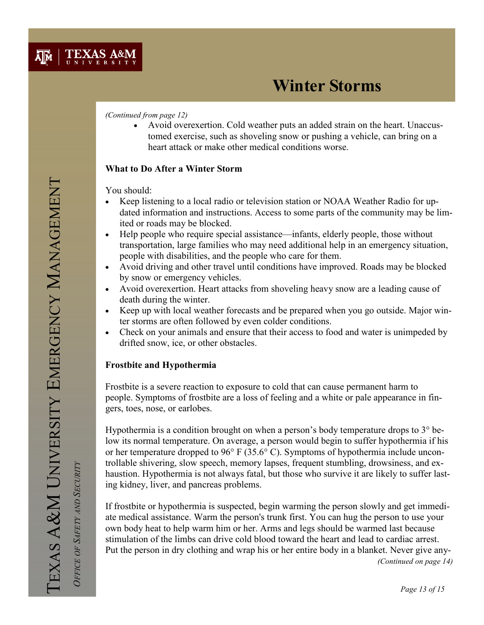

(Continued from page 12)

• Avoid overexertion. Cold weather puts an added strain on the heart. Unaccustomed exercise, such as shoveling snow or pushing a vehicle, can bring on a heart attack or make other medical conditions worse.

### What to Do After a Winter Storm

You should:

- Keep listening to a local radio or television station or NOAA Weather Radio for updated information and instructions. Access to some parts of the community may be limited or roads may be blocked.
- Help people who require special assistance—infants, elderly people, those without transportation, large families who may need additional help in an emergency situation, people with disabilities, and the people who care for them.
- Avoid driving and other travel until conditions have improved. Roads may be blocked by snow or emergency vehicles.
- Avoid overexertion. Heart attacks from shoveling heavy snow are a leading cause of death during the winter.
- Keep up with local weather forecasts and be prepared when you go outside. Major winter storms are often followed by even colder conditions.
- Check on your animals and ensure that their access to food and water is unimpeded by drifted snow, ice, or other obstacles.

#### Frostbite and Hypothermia

Frostbite is a severe reaction to exposure to cold that can cause permanent harm to people. Symptoms of frostbite are a loss of feeling and a white or pale appearance in fingers, toes, nose, or earlobes.

Hypothermia is a condition brought on when a person's body temperature drops to 3° below its normal temperature. On average, a person would begin to suffer hypothermia if his or her temperature dropped to 96° F (35.6° C). Symptoms of hypothermia include uncontrollable shivering, slow speech, memory lapses, frequent stumbling, drowsiness, and exhaustion. Hypothermia is not always fatal, but those who survive it are likely to suffer lasting kidney, liver, and pancreas problems.

If frostbite or hypothermia is suspected, begin warming the person slowly and get immediate medical assistance. Warm the person's trunk first. You can hug the person to use your own body heat to help warm him or her. Arms and legs should be warmed last because stimulation of the limbs can drive cold blood toward the heart and lead to cardiac arrest. Put the person in dry clothing and wrap his or her entire body in a blanket. Never give any- (Continued on page 14)

OFFICE OF SAFETY AND SECURITY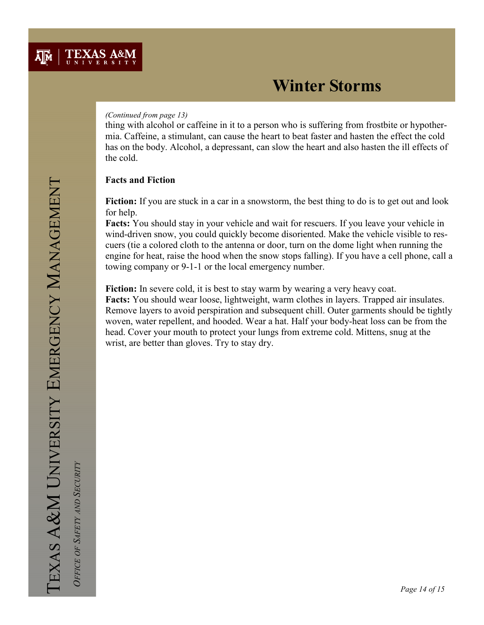#### (Continued from page 13)

thing with alcohol or caffeine in it to a person who is suffering from frostbite or hypothermia. Caffeine, a stimulant, can cause the heart to beat faster and hasten the effect the cold has on the body. Alcohol, a depressant, can slow the heart and also hasten the ill effects of the cold.

### Facts and Fiction

Fiction: If you are stuck in a car in a snowstorm, the best thing to do is to get out and look for help.

Facts: You should stay in your vehicle and wait for rescuers. If you leave your vehicle in wind-driven snow, you could quickly become disoriented. Make the vehicle visible to rescuers (tie a colored cloth to the antenna or door, turn on the dome light when running the engine for heat, raise the hood when the snow stops falling). If you have a cell phone, call a towing company or 9-1-1 or the local emergency number.

Fiction: In severe cold, it is best to stay warm by wearing a very heavy coat. Facts: You should wear loose, lightweight, warm clothes in layers. Trapped air insulates. Remove layers to avoid perspiration and subsequent chill. Outer garments should be tightly woven, water repellent, and hooded. Wear a hat. Half your body-heat loss can be from the head. Cover your mouth to protect your lungs from extreme cold. Mittens, snug at the wrist, are better than gloves. Try to stay dry.

 OFFICE OF SAFETY AND SECURITY OFFICE OF SAFETY AND SECURITY